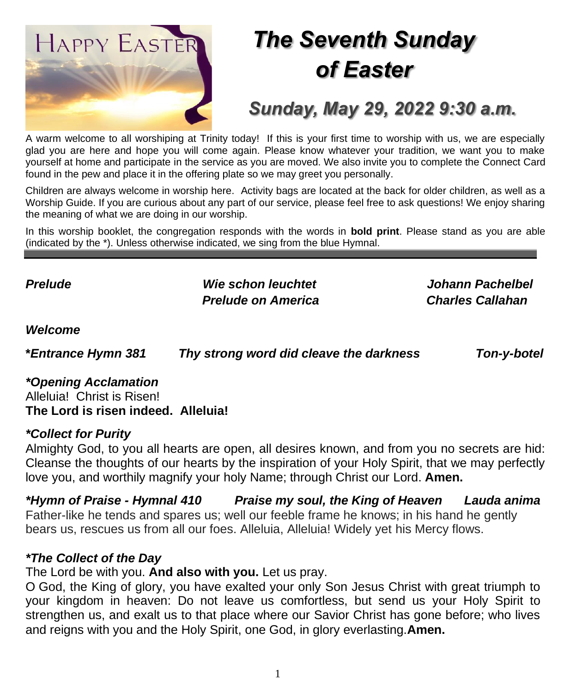

# *The Seventh Sunday of Easter*

*Sunday, May 29, 2022 9:30 a.m.*

A warm welcome to all worshiping at Trinity today! If this is your first time to worship with us, we are especially glad you are here and hope you will come again. Please know whatever your tradition, we want you to make yourself at home and participate in the service as you are moved. We also invite you to complete the Connect Card found in the pew and place it in the offering plate so we may greet you personally.

Children are always welcome in worship here. Activity bags are located at the back for older children, as well as a Worship Guide. If you are curious about any part of our service, please feel free to ask questions! We enjoy sharing the meaning of what we are doing in our worship.

In this worship booklet, the congregation responds with the words in **bold print**. Please stand as you are able (indicated by the \*). Unless otherwise indicated, we sing from the blue Hymnal.

*Prelude Wie schon leuchtet Johann Pachelbel Prelude on America Charles Callahan*

*Welcome*

**\****Entrance Hymn 381 Thy strong word did cleave the darkness Ton-y-botel*

# *\*Opening Acclamation*

Alleluia! Christ is Risen! **The Lord is risen indeed. Alleluia!**

#### *\*Collect for Purity*

Almighty God, to you all hearts are open, all desires known, and from you no secrets are hid: Cleanse the thoughts of our hearts by the inspiration of your Holy Spirit, that we may perfectly love you, and worthily magnify your holy Name; through Christ our Lord. **Amen.**

*\*Hymn of Praise - Hymnal 410 Praise my soul, the King of Heaven Lauda anima* Father-like he tends and spares us; well our feeble frame he knows; in his hand he gently bears us, rescues us from all our foes. Alleluia, Alleluia! Widely yet his Mercy flows.

#### *\*The Collect of the Day*

The Lord be with you. **And also with you.** Let us pray.

O God, the King of glory, you have exalted your only Son Jesus Christ with great triumph to your kingdom in heaven: Do not leave us comfortless, but send us your Holy Spirit to strengthen us, and exalt us to that place where our Savior Christ has gone before; who lives and reigns with you and the Holy Spirit, one God, in glory everlasting.**Amen.**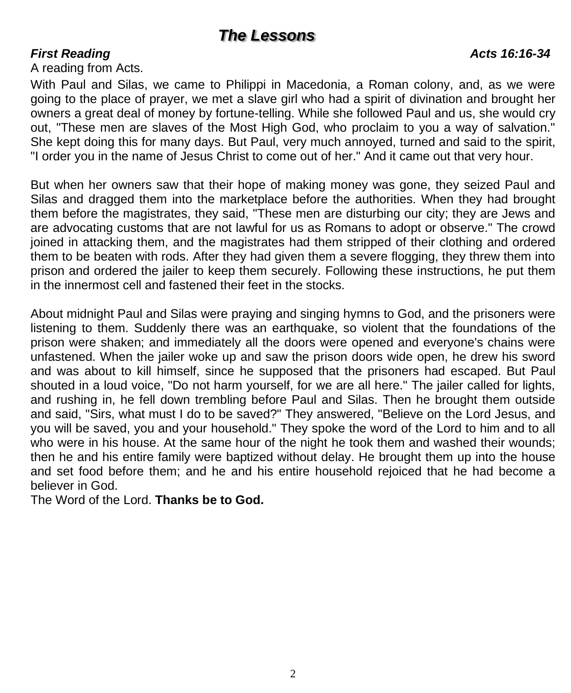# *The Lessons*

### *First Reading* Acts 16:16-34

A reading from Acts.

With Paul and Silas, we came to Philippi in Macedonia, a Roman colony, and, as we were going to the place of prayer, we met a slave girl who had a spirit of divination and brought her owners a great deal of money by fortune-telling. While she followed Paul and us, she would cry out, "These men are slaves of the Most High God, who proclaim to you a way of salvation." She kept doing this for many days. But Paul, very much annoyed, turned and said to the spirit, "I order you in the name of Jesus Christ to come out of her." And it came out that very hour.

But when her owners saw that their hope of making money was gone, they seized Paul and Silas and dragged them into the marketplace before the authorities. When they had brought them before the magistrates, they said, "These men are disturbing our city; they are Jews and are advocating customs that are not lawful for us as Romans to adopt or observe." The crowd joined in attacking them, and the magistrates had them stripped of their clothing and ordered them to be beaten with rods. After they had given them a severe flogging, they threw them into prison and ordered the jailer to keep them securely. Following these instructions, he put them in the innermost cell and fastened their feet in the stocks.

About midnight Paul and Silas were praying and singing hymns to God, and the prisoners were listening to them. Suddenly there was an earthquake, so violent that the foundations of the prison were shaken; and immediately all the doors were opened and everyone's chains were unfastened. When the jailer woke up and saw the prison doors wide open, he drew his sword and was about to kill himself, since he supposed that the prisoners had escaped. But Paul shouted in a loud voice, "Do not harm yourself, for we are all here." The jailer called for lights, and rushing in, he fell down trembling before Paul and Silas. Then he brought them outside and said, "Sirs, what must I do to be saved?" They answered, "Believe on the Lord Jesus, and you will be saved, you and your household." They spoke the word of the Lord to him and to all who were in his house. At the same hour of the night he took them and washed their wounds; then he and his entire family were baptized without delay. He brought them up into the house and set food before them; and he and his entire household rejoiced that he had become a believer in God.

The Word of the Lord. **Thanks be to God.**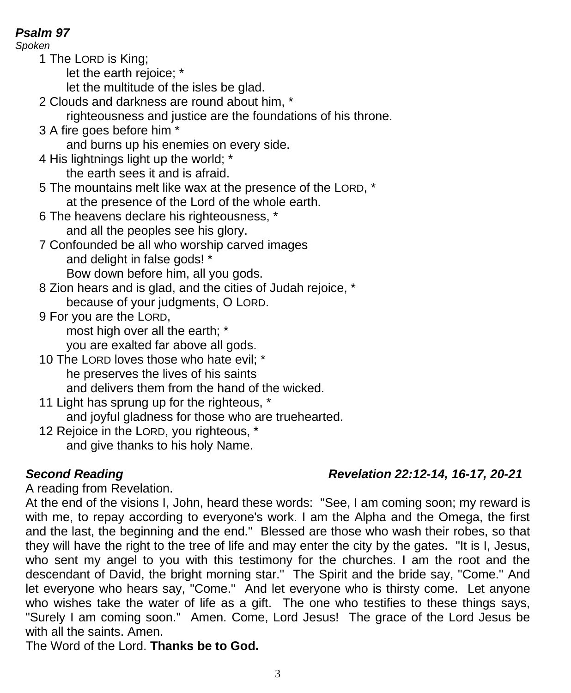### *Psalm 97*

*Spoken*

- 1 The LORD is King;
	- let the earth rejoice; \*
	- let the multitude of the isles be glad.
- 2 Clouds and darkness are round about him, \*
	- righteousness and justice are the foundations of his throne.
- 3 A fire goes before him \*

and burns up his enemies on every side.

4 His lightnings light up the world; \*

the earth sees it and is afraid.

5 The mountains melt like wax at the presence of the LORD, \*

at the presence of the Lord of the whole earth.

6 The heavens declare his righteousness, \*

and all the peoples see his glory.

- 7 Confounded be all who worship carved images and delight in false gods! \* Bow down before him, all you gods.
- 8 Zion hears and is glad, and the cities of Judah rejoice, \* because of your judgments, O LORD.
- 9 For you are the LORD, most high over all the earth; \* you are exalted far above all gods.
- 10 The LORD loves those who hate evil; \* he preserves the lives of his saints and delivers them from the hand of the wicked.
- 11 Light has sprung up for the righteous, \* and joyful gladness for those who are truehearted.
- 12 Rejoice in the LORD, you righteous, \* and give thanks to his holy Name.

# *Second Reading Revelation 22:12-14, 16-17, 20-21*

A reading from Revelation.

At the end of the visions I, John, heard these words: "See, I am coming soon; my reward is with me, to repay according to everyone's work. I am the Alpha and the Omega, the first and the last, the beginning and the end." Blessed are those who wash their robes, so that they will have the right to the tree of life and may enter the city by the gates. "It is I, Jesus, who sent my angel to you with this testimony for the churches. I am the root and the descendant of David, the bright morning star." The Spirit and the bride say, "Come." And let everyone who hears say, "Come." And let everyone who is thirsty come. Let anyone who wishes take the water of life as a gift. The one who testifies to these things says, "Surely I am coming soon." Amen. Come, Lord Jesus! The grace of the Lord Jesus be with all the saints. Amen.

The Word of the Lord. **Thanks be to God.**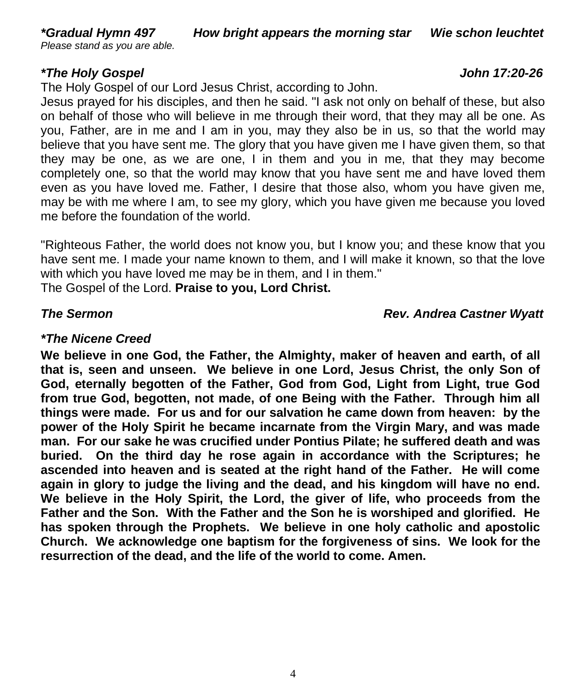*Please stand as you are able.* 

#### *\*The Holy Gospel John 17:20-26*

The Holy Gospel of our Lord Jesus Christ, according to John.

Jesus prayed for his disciples, and then he said. "I ask not only on behalf of these, but also on behalf of those who will believe in me through their word, that they may all be one. As you, Father, are in me and I am in you, may they also be in us, so that the world may believe that you have sent me. The glory that you have given me I have given them, so that they may be one, as we are one, I in them and you in me, that they may become completely one, so that the world may know that you have sent me and have loved them even as you have loved me. Father, I desire that those also, whom you have given me, may be with me where I am, to see my glory, which you have given me because you loved me before the foundation of the world.

"Righteous Father, the world does not know you, but I know you; and these know that you have sent me. I made your name known to them, and I will make it known, so that the love with which you have loved me may be in them, and I in them."

The Gospel of the Lord. **Praise to you, Lord Christ.**

#### *The Sermon Rev. Andrea Castner Wyatt*

#### *\*The Nicene Creed*

**We believe in one God, the Father, the Almighty, maker of heaven and earth, of all that is, seen and unseen. We believe in one Lord, Jesus Christ, the only Son of God, eternally begotten of the Father, God from God, Light from Light, true God from true God, begotten, not made, of one Being with the Father. Through him all things were made. For us and for our salvation he came down from heaven: by the power of the Holy Spirit he became incarnate from the Virgin Mary, and was made man. For our sake he was crucified under Pontius Pilate; he suffered death and was buried. On the third day he rose again in accordance with the Scriptures; he ascended into heaven and is seated at the right hand of the Father. He will come again in glory to judge the living and the dead, and his kingdom will have no end. We believe in the Holy Spirit, the Lord, the giver of life, who proceeds from the Father and the Son. With the Father and the Son he is worshiped and glorified. He has spoken through the Prophets. We believe in one holy catholic and apostolic Church. We acknowledge one baptism for the forgiveness of sins. We look for the resurrection of the dead, and the life of the world to come. Amen.**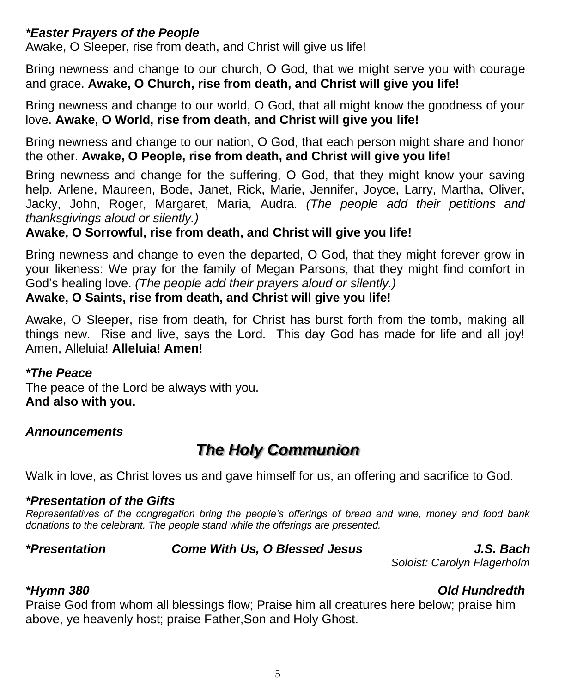#### *\*Easter Prayers of the People*

Awake, O Sleeper, rise from death, and Christ will give us life!

Bring newness and change to our church, O God, that we might serve you with courage and grace. **Awake, O Church, rise from death, and Christ will give you life!**

Bring newness and change to our world, O God, that all might know the goodness of your love. **Awake, O World, rise from death, and Christ will give you life!**

Bring newness and change to our nation, O God, that each person might share and honor the other. **Awake, O People, rise from death, and Christ will give you life!**

Bring newness and change for the suffering, O God, that they might know your saving help. Arlene, Maureen, Bode, Janet, Rick, Marie, Jennifer, Joyce, Larry, Martha, Oliver, Jacky, John, Roger, Margaret, Maria, Audra. *(The people add their petitions and thanksgivings aloud or silently.)*

### **Awake, O Sorrowful, rise from death, and Christ will give you life!**

Bring newness and change to even the departed, O God, that they might forever grow in your likeness: We pray for the family of Megan Parsons, that they might find comfort in God's healing love. *(The people add their prayers aloud or silently.)*

### **Awake, O Saints, rise from death, and Christ will give you life!**

Awake, O Sleeper, rise from death, for Christ has burst forth from the tomb, making all things new. Rise and live, says the Lord. This day God has made for life and all joy! Amen, Alleluia! **Alleluia! Amen!**

#### *\*The Peace*

The peace of the Lord be always with you. **And also with you.** 

#### *Announcements*

# *The Holy Communion*

Walk in love, as Christ loves us and gave himself for us, an offering and sacrifice to God.

#### *\*Presentation of the Gifts*

*Representatives of the congregation bring the people's offerings of bread and wine, money and food bank donations to the celebrant. The people stand while the offerings are presented.* 

#### *\*Presentation Come With Us, O Blessed Jesus J.S. Bach*

 *Soloist: Carolyn Flagerholm*

### *\*Hymn 380 Old Hundredth*

Praise God from whom all blessings flow; Praise him all creatures here below; praise him above, ye heavenly host; praise Father,Son and Holy Ghost.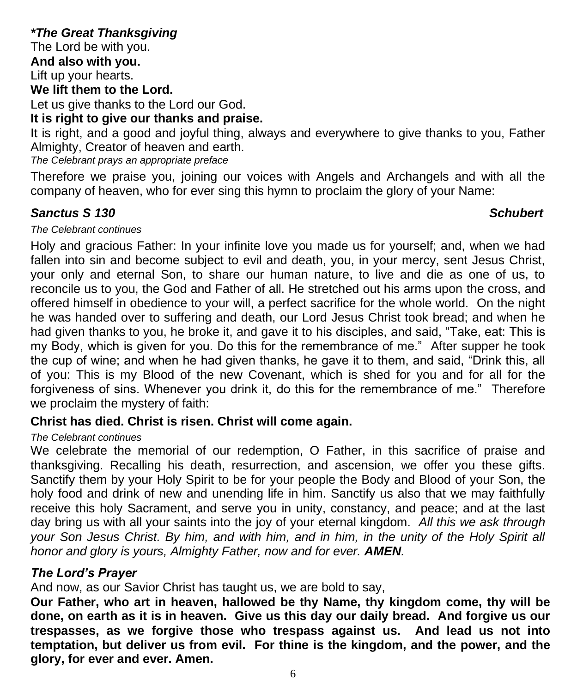### *\*The Great Thanksgiving*

The Lord be with you. **And also with you.**  Lift up your hearts.

**We lift them to the Lord.** 

Let us give thanks to the Lord our God.

#### **It is right to give our thanks and praise.**

It is right, and a good and joyful thing, always and everywhere to give thanks to you, Father Almighty, Creator of heaven and earth.

*The Celebrant prays an appropriate preface*

Therefore we praise you, joining our voices with Angels and Archangels and with all the company of heaven, who for ever sing this hymn to proclaim the glory of your Name:

### *Sanctus S 130 Schubert*

*The Celebrant continues*

Holy and gracious Father: In your infinite love you made us for yourself; and, when we had fallen into sin and become subject to evil and death, you, in your mercy, sent Jesus Christ, your only and eternal Son, to share our human nature, to live and die as one of us, to reconcile us to you, the God and Father of all. He stretched out his arms upon the cross, and offered himself in obedience to your will, a perfect sacrifice for the whole world. On the night he was handed over to suffering and death, our Lord Jesus Christ took bread; and when he had given thanks to you, he broke it, and gave it to his disciples, and said, "Take, eat: This is my Body, which is given for you. Do this for the remembrance of me." After supper he took the cup of wine; and when he had given thanks, he gave it to them, and said, "Drink this, all of you: This is my Blood of the new Covenant, which is shed for you and for all for the forgiveness of sins. Whenever you drink it, do this for the remembrance of me." Therefore we proclaim the mystery of faith:

### **Christ has died. Christ is risen. Christ will come again.**

#### *The Celebrant continues*

We celebrate the memorial of our redemption, O Father, in this sacrifice of praise and thanksgiving. Recalling his death, resurrection, and ascension, we offer you these gifts. Sanctify them by your Holy Spirit to be for your people the Body and Blood of your Son, the holy food and drink of new and unending life in him. Sanctify us also that we may faithfully receive this holy Sacrament, and serve you in unity, constancy, and peace; and at the last day bring us with all your saints into the joy of your eternal kingdom. *All this we ask through your Son Jesus Christ. By him, and with him, and in him, in the unity of the Holy Spirit all honor and glory is yours, Almighty Father, now and for ever. AMEN.*

### *The Lord's Prayer*

And now, as our Savior Christ has taught us, we are bold to say,

**Our Father, who art in heaven, hallowed be thy Name, thy kingdom come, thy will be done, on earth as it is in heaven. Give us this day our daily bread. And forgive us our trespasses, as we forgive those who trespass against us. And lead us not into temptation, but deliver us from evil. For thine is the kingdom, and the power, and the glory, for ever and ever. Amen.**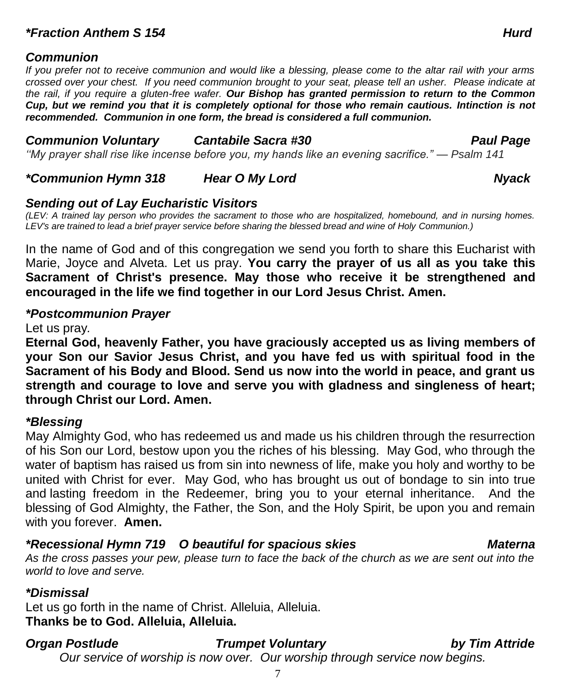#### *\*Fraction Anthem S 154 Hurd*

#### *Communion*

*If you prefer not to receive communion and would like a blessing, please come to the altar rail with your arms crossed over your chest. If you need communion brought to your seat, please tell an usher. Please indicate at the rail, if you require a gluten-free wafer. Our Bishop has granted permission to return to the Common Cup, but we remind you that it is completely optional for those who remain cautious. Intinction is not recommended. Communion in one form, the bread is considered a full communion.*

#### *Communion Voluntary Cantabile Sacra #30 Paul Page*

*''My prayer shall rise like incense before you, my hands like an evening sacrifice." — Psalm 141*

#### *\*Communion Hymn 318 Hear O My Lord Nyack*

#### *Sending out of Lay Eucharistic Visitors*

*(LEV: A trained lay person who provides the sacrament to those who are hospitalized, homebound, and in nursing homes. LEV's are trained to lead a brief prayer service before sharing the blessed bread and wine of Holy Communion.)*

In the name of God and of this congregation we send you forth to share this Eucharist with Marie, Joyce and Alveta. Let us pray. **You carry the prayer of us all as you take this Sacrament of Christ's presence. May those who receive it be strengthened and encouraged in the life we find together in our Lord Jesus Christ. Amen.**

#### *\*Postcommunion Prayer*

Let us pray*.*

**Eternal God, heavenly Father, you have graciously accepted us as living members of your Son our Savior Jesus Christ, and you have fed us with spiritual food in the Sacrament of his Body and Blood. Send us now into the world in peace, and grant us strength and courage to love and serve you with gladness and singleness of heart; through Christ our Lord. Amen.**

#### *\*Blessing*

May Almighty God, who has redeemed us and made us his children through the resurrection of his Son our Lord, bestow upon you the riches of his blessing. May God, who through the water of baptism has raised us from sin into newness of life, make you holy and worthy to be united with Christ for ever. May God, who has brought us out of bondage to sin into true and lasting freedom in the Redeemer, bring you to your eternal inheritance. And the blessing of God Almighty, the Father, the Son, and the Holy Spirit, be upon you and remain with you forever. **Amen.**

#### *\*Recessional Hymn 719 O beautiful for spacious skies Materna*

*As the cross passes your pew, please turn to face the back of the church as we are sent out into the world to love and serve.*

#### *\*Dismissal*

Let us go forth in the name of Christ. Alleluia, Alleluia. **Thanks be to God. Alleluia, Alleluia.**

*Organ Postlude Trumpet Voluntary by Tim Attride*

*Our service of worship is now over. Our worship through service now begins.*